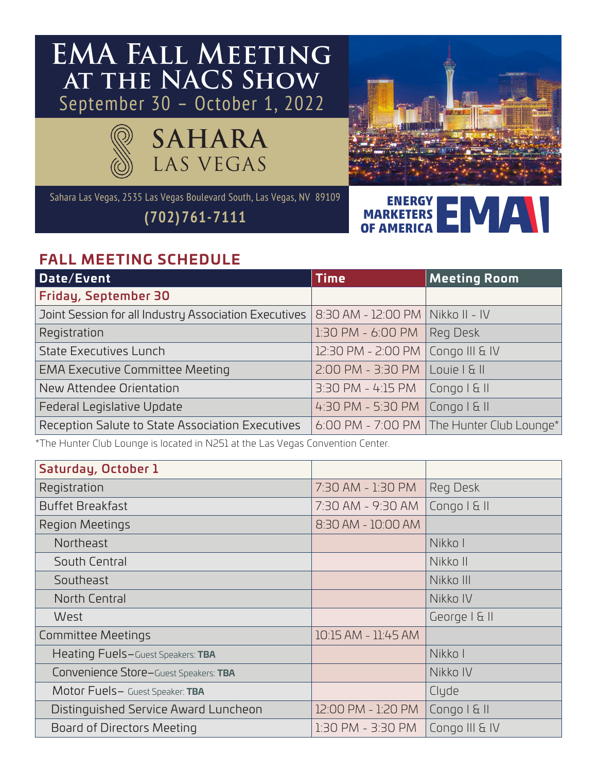## **EMA Fall Meeting at the NACS Show** September 30 – October 1, 2022





Sahara Las Vegas, 2535 Las Vegas Boulevard South, Las Vegas, NV 89109

**(702)761-7111**

**ENERGY MARKETERS OF AMERICA**

## **FALL MEETING SCHEDULE**

| Date/Event                                            | <b>Time</b>                         | <b>Meeting Room</b>                         |
|-------------------------------------------------------|-------------------------------------|---------------------------------------------|
| <b>Friday, September 30</b>                           |                                     |                                             |
| Joint Session for all Industry Association Executives | 8:30 AM - 12:00 PM   Nikko II - IV  |                                             |
| Registration                                          | 1:30 PM - 6:00 PM                   | Reg Desk                                    |
| <b>State Executives Lunch</b>                         | 12:30 PM - 2:00 PM   Congo III & IV |                                             |
| <b>EMA Executive Committee Meeting</b>                | 2:00 PM - 3:30 PM                   | Louie   &                                   |
| New Attendee Orientation                              | 3:30 PM - 4:15 PM                   | $\lfloor$ Congo I & II                      |
| Federal Legislative Update                            | 4:30 PM - 5:30 PM                   | $\vert$ Congo $\vert$ & $\vert\vert$        |
| Reception Salute to State Association Executives      |                                     | 6:00 PM - 7:00 PM   The Hunter Club Lounge* |

\*The Hunter Club Lounge is located in N251 at the Las Vegas Convention Center.

| Saturday, October 1                          |                     |                |
|----------------------------------------------|---------------------|----------------|
| Registration                                 | 7:30 AM - 1:30 PM   | Reg Desk       |
| <b>Buffet Breakfast</b>                      | 7:30 AM - 9:30 AM   | Congo I & II   |
| Region Meetings                              | 8:30 AM - 10:00 AM  |                |
| <b>Northeast</b>                             |                     | Nikko I        |
| South Central                                |                     | Nikko II       |
| Southeast                                    |                     | Nikko III      |
| North Central                                |                     | Nikko IV       |
| West                                         |                     | George   & II  |
| <b>Committee Meetings</b>                    | 10:15 AM - 11:45 AM |                |
| Heating Fuels-Guest Speakers: TBA            |                     | Nikko I        |
| <b>Convenience Store-Guest Speakers: TBA</b> |                     | Nikko IV       |
| Motor Fuels- Guest Speaker: TBA              |                     | Clyde          |
| Distinguished Service Award Luncheon         | 12:00 PM - 1:20 PM  | Congo I & II   |
| Board of Directors Meeting                   | 1:30 PM - 3:30 PM   | Congo III & IV |